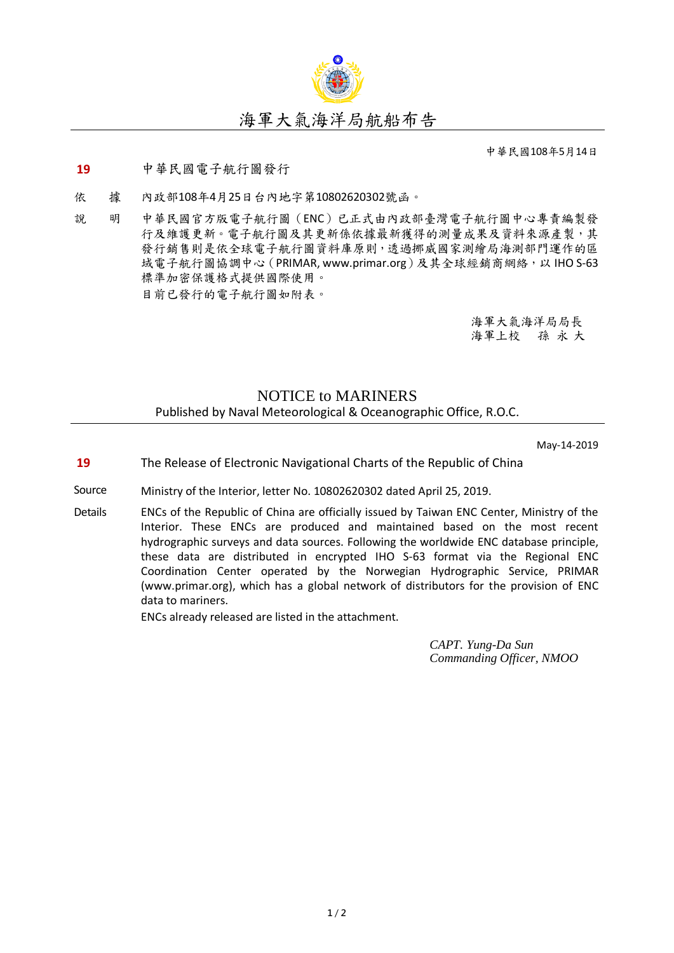

中華民國108年5月14日

## **19** 中華民國電子航行圖發行

- 依 據 內政部108年4月25日台內地字第10802620302號函。
- 說 明 中華民國官方版電子航行圖(ENC)已正式由內政部臺灣電子航行圖中心專責編製發 行及維護更新。電子航行圖及其更新係依據最新獲得的測量成果及資料來源產製,其 發行銷售則是依全球電子航行圖資料庫原則,透過挪威國家測繪局海測部門運作的區 域電子航行圖協調中心 (PRIMAR, www.primar.org)及其全球經銷商網絡, 以 IHO S-63 標準加密保護格式提供國際使用。 目前已發行的電子航行圖如附表。

海軍大氣海洋局局長 海軍上校 孫 永 大

## NOTICE to MARINERS Published by Naval Meteorological & Oceanographic Office, R.O.C.

May-14-2019

- **19** The Release of Electronic Navigational Charts of the Republic of China
- Source Ministry of the Interior, letter No. 10802620302 dated April 25, 2019.
- Details ENCs of the Republic of China are officially issued by Taiwan ENC Center, Ministry of the Interior. These ENCs are produced and maintained based on the most recent hydrographic surveys and data sources. Following the worldwide ENC database principle, these data are distributed in encrypted IHO S-63 format via the Regional ENC Coordination Center operated by the Norwegian Hydrographic Service, PRIMAR (www.primar.org), which has a global network of distributors for the provision of ENC data to mariners.

ENCs already released are listed in the attachment.

*CAPT. Yung-Da Sun Commanding Officer, NMOO*